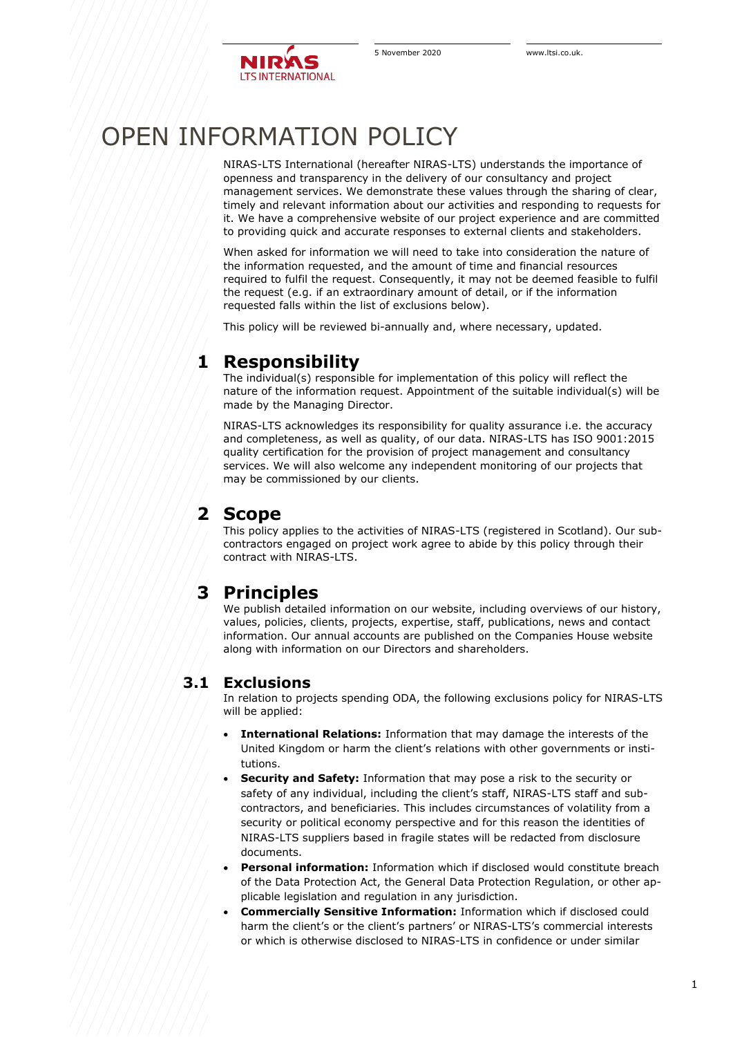

# OPEN INFORMATION POLICY

NIRAS-LTS International (hereafter NIRAS-LTS) understands the importance of openness and transparency in the delivery of our consultancy and project management services. We demonstrate these values through the sharing of clear, timely and relevant information about our activities and responding to requests for it. We have a comprehensive website of our project experience and are committed to providing quick and accurate responses to external clients and stakeholders.

When asked for information we will need to take into consideration the nature of the information requested, and the amount of time and financial resources required to fulfil the request. Consequently, it may not be deemed feasible to fulfil the request (e.g. if an extraordinary amount of detail, or if the information requested falls within the list of exclusions below).

This policy will be reviewed bi-annually and, where necessary, updated.

## **1 Responsibility**

The individual(s) responsible for implementation of this policy will reflect the nature of the information request. Appointment of the suitable individual(s) will be made by the Managing Director.

NIRAS-LTS acknowledges its responsibility for quality assurance i.e. the accuracy and completeness, as well as quality, of our data. NIRAS-LTS has ISO 9001:2015 quality certification for the provision of project management and consultancy services. We will also welcome any independent monitoring of our projects that may be commissioned by our clients.

## **2 Scope**

This policy applies to the activities of NIRAS-LTS (registered in Scotland). Our subcontractors engaged on project work agree to abide by this policy through their contract with NIRAS-LTS.

## **3 Principles**

We publish detailed information on our website, including overviews of our history, values, policies, clients, projects, expertise, staff, publications, news and contact information. Our annual accounts are published on the Companies House website along with information on our Directors and shareholders.

#### **3.1 Exclusions**

In relation to projects spending ODA, the following exclusions policy for NIRAS-LTS will be applied:

- **International Relations:** Information that may damage the interests of the United Kingdom or harm the client's relations with other governments or institutions.
- **Security and Safety:** Information that may pose a risk to the security or safety of any individual, including the client's staff, NIRAS-LTS staff and subcontractors, and beneficiaries. This includes circumstances of volatility from a security or political economy perspective and for this reason the identities of NIRAS-LTS suppliers based in fragile states will be redacted from disclosure documents.
- **Personal information:** Information which if disclosed would constitute breach of the Data Protection Act, the General Data Protection Regulation, or other applicable legislation and regulation in any jurisdiction.
- **Commercially Sensitive Information:** Information which if disclosed could harm the client's or the client's partners' or NIRAS-LTS's commercial interests or which is otherwise disclosed to NIRAS-LTS in confidence or under similar